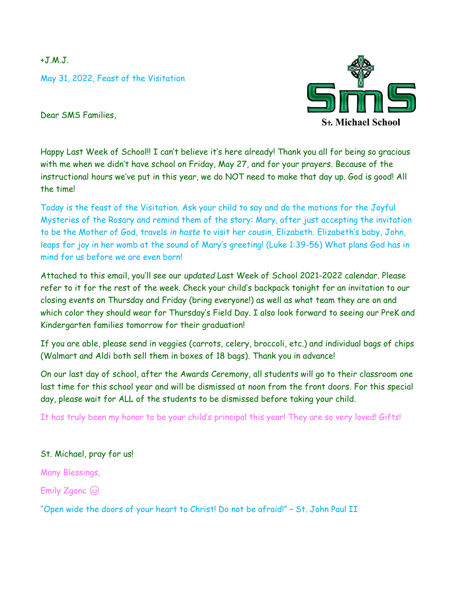$+J.M.J.$ 

May 31, 2022, Feast of the Visitation



Dear SMS Families,

Happy Last Week of School!! I can't believe it's here already! Thank you all for being so gracious with me when we didn't have school on Friday, May 27, and for your prayers. Because of the instructional hours we've put in this year, we do NOT need to make that day up. God is good! All the time!

Today is the feast of the Visitation. Ask your child to say and do the motions for the Joyful Mysteries of the Rosary and remind them of the story: Mary, after just accepting the invitation to be the Mother of God, travels *in haste* to visit her cousin, Elizabeth. Elizabeth's baby, John, leaps for joy in her womb at the sound of Mary's greeting! (Luke 1:39-56) What plans God has in mind for us before we are even born!

Attached to this email, you'll see our *updated* Last Week of School 2021-2022 calendar. Please refer to it for the rest of the week. Check your child's backpack tonight for an invitation to our closing events on Thursday and Friday (bring everyone!) as well as what team they are on and which color they should wear for Thursday's Field Day. I also look forward to seeing our PreK and Kindergarten families tomorrow for their graduation!

If you are able, please send in veggies (carrots, celery, broccoli, etc.) and individual bags of chips (Walmart and Aldi both sell them in boxes of 18 bags). Thank you in advance!

On our last day of school, after the Awards Ceremony, all students will go to their classroom one last time for this school year and will be dismissed at noon from the front doors. For this special day, please wait for ALL of the students to be dismissed before taking your child.

It has truly been my honor to be your child's principal this year! They are so very loved! Gifts!

## St. Michael, pray for us!

Many Blessings,

Emily Zgonc  $\circledcirc$ 

"Open wide the doors of your heart to Christ! Do not be afraid!" – St. John Paul II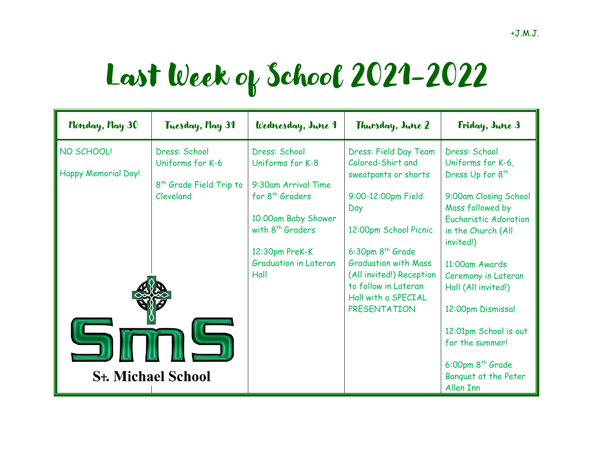## Last Week of School 2021-2022

| Monday, Nay 30                                                            | Tuesday, Nay 31                                                                       | Wednesday, June 1                                                                                                                                                                                        | Thursday, June 2                                                                                                                                                                                                                                                                   | Friday, June 3                                                                                                                                                                                                                                                                                                                                                                    |
|---------------------------------------------------------------------------|---------------------------------------------------------------------------------------|----------------------------------------------------------------------------------------------------------------------------------------------------------------------------------------------------------|------------------------------------------------------------------------------------------------------------------------------------------------------------------------------------------------------------------------------------------------------------------------------------|-----------------------------------------------------------------------------------------------------------------------------------------------------------------------------------------------------------------------------------------------------------------------------------------------------------------------------------------------------------------------------------|
| NO SCHOOL!<br>Happy Memorial Day!<br><b>S<sub>t</sub>. Michael School</b> | Dress: School<br>Uniforms for K-6<br>8 <sup>th</sup> Grade Field Trip to<br>Cleveland | Dress: School<br>Uniforms for K-8<br>9:30am Arrival Time<br>for 8 <sup>th</sup> Graders<br>10:00am Baby Shower<br>with 8 <sup>th</sup> Graders<br>12:30pm PreK-K<br><b>Graduation in Lateran</b><br>Hall | Dress: Field Day Team<br>Colored-Shirt and<br>sweatpants or shorts<br>9:00-12:00pm Field<br>Day<br>12:00pm School Picnic<br>$6:30$ pm $8th$ Grade<br><b>Graduation with Mass</b><br>(All invited!) Reception<br>to follow in Lateran<br>Hall with a SPECIAL<br><b>PRESENTATION</b> | Dress: School<br>Uniforms for K-6,<br>Dress Up for 8 <sup>th</sup><br>9:00am Closing School<br>Mass followed by<br><b>Eucharistic Adoration</b><br>in the Church (All<br>invited!)<br>11:00am Awards<br>Ceremony in Lateran<br>Hall (All invited!)<br>12:00pm Dismissal<br>12:01pm School is out<br>for the summer!<br>$6:00$ pm $8th$ Grade<br>Banquet at the Peter<br>Allen Inn |